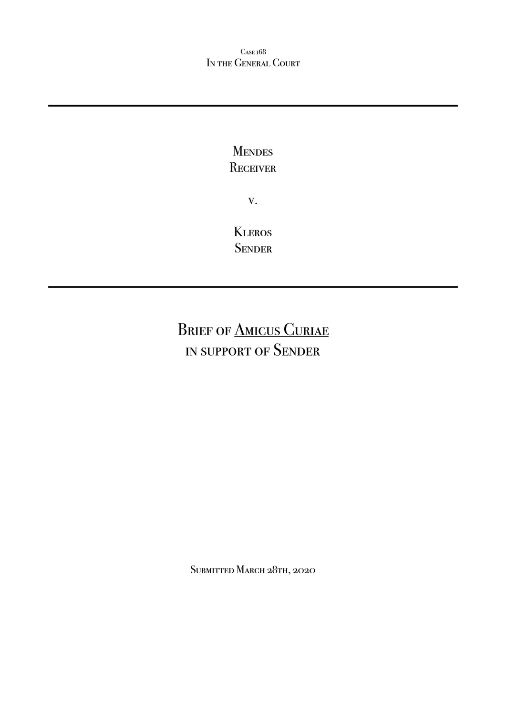Case 168 IN THE GENERAL COURT

## **MENDES RECEIVER**

v.

**KLEROS SENDER** 

# BRIEF OF **AMICUS CURIAE** in support of Sender

Submitted March 28th, 2020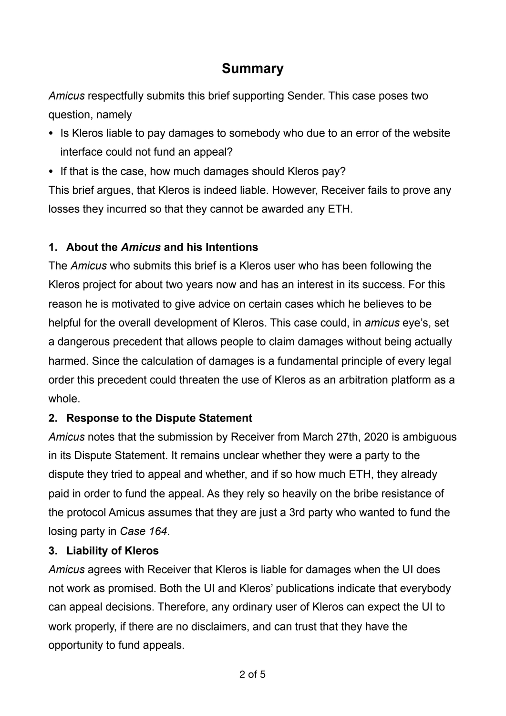## **Summary**

*Amicus* respectfully submits this brief supporting Sender. This case poses two question, namely

- *•* Is Kleros liable to pay damages to somebody who due to an error of the website interface could not fund an appeal?
- *•* If that is the case, how much damages should Kleros pay?

This brief argues, that Kleros is indeed liable. However, Receiver fails to prove any losses they incurred so that they cannot be awarded any ETH.

### **1. About the** *Amicus* **and his Intentions**

The *Amicus* who submits this brief is a Kleros user who has been following the Kleros project for about two years now and has an interest in its success. For this reason he is motivated to give advice on certain cases which he believes to be helpful for the overall development of Kleros. This case could, in *amicus* eye's, set a dangerous precedent that allows people to claim damages without being actually harmed. Since the calculation of damages is a fundamental principle of every legal order this precedent could threaten the use of Kleros as an arbitration platform as a whole.

### **2. Response to the Dispute Statement**

*Amicus* notes that the submission by Receiver from March 27th, 2020 is ambiguous in its Dispute Statement. It remains unclear whether they were a party to the dispute they tried to appeal and whether, and if so how much ETH, they already paid in order to fund the appeal. As they rely so heavily on the bribe resistance of the protocol Amicus assumes that they are just a 3rd party who wanted to fund the losing party in *Case 164*.

#### **3. Liability of Kleros**

*Amicus* agrees with Receiver that Kleros is liable for damages when the UI does not work as promised. Both the UI and Kleros' publications indicate that everybody can appeal decisions. Therefore, any ordinary user of Kleros can expect the UI to work properly, if there are no disclaimers, and can trust that they have the opportunity to fund appeals.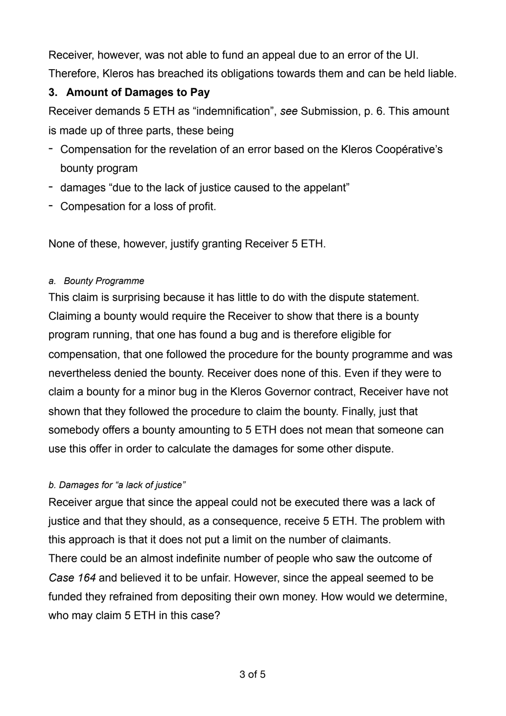Receiver, however, was not able to fund an appeal due to an error of the UI. Therefore, Kleros has breached its obligations towards them and can be held liable.

#### **3. Amount of Damages to Pay**

Receiver demands 5 ETH as "indemnification", *see* Submission, p. 6. This amount is made up of three parts, these being

- Compensation for the revelation of an error based on the Kleros Coopérative's bounty program
- damages "due to the lack of justice caused to the appelant"
- Compesation for a loss of profit.

None of these, however, justify granting Receiver 5 ETH.

#### *a. Bounty Programme*

This claim is surprising because it has little to do with the dispute statement. Claiming a bounty would require the Receiver to show that there is a bounty program running, that one has found a bug and is therefore eligible for compensation, that one followed the procedure for the bounty programme and was nevertheless denied the bounty. Receiver does none of this. Even if they were to claim a bounty for a minor bug in the Kleros Governor contract, Receiver have not shown that they followed the procedure to claim the bounty. Finally, just that somebody offers a bounty amounting to 5 ETH does not mean that someone can use this offer in order to calculate the damages for some other dispute.

#### *b. Damages for "a lack of justice"*

Receiver argue that since the appeal could not be executed there was a lack of justice and that they should, as a consequence, receive 5 ETH. The problem with this approach is that it does not put a limit on the number of claimants. There could be an almost indefinite number of people who saw the outcome of *Case 164* and believed it to be unfair. However, since the appeal seemed to be funded they refrained from depositing their own money. How would we determine, who may claim 5 ETH in this case?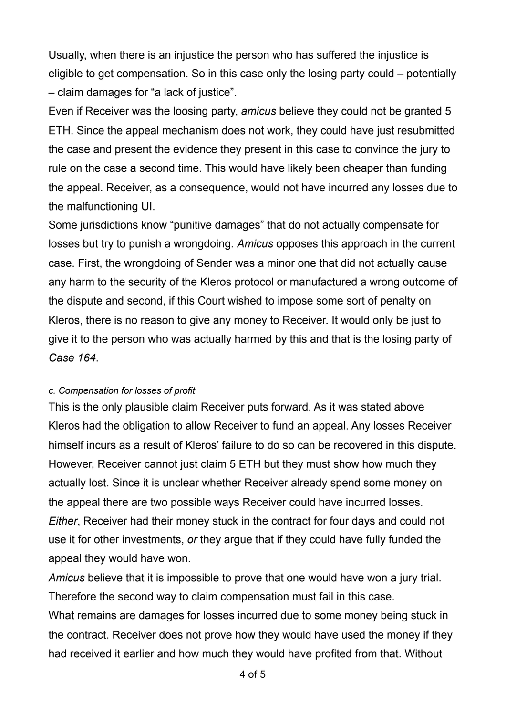Usually, when there is an injustice the person who has suffered the injustice is eligible to get compensation. So in this case only the losing party could – potentially – claim damages for "a lack of justice".

Even if Receiver was the loosing party, *amicus* believe they could not be granted 5 ETH. Since the appeal mechanism does not work, they could have just resubmitted the case and present the evidence they present in this case to convince the jury to rule on the case a second time. This would have likely been cheaper than funding the appeal. Receiver, as a consequence, would not have incurred any losses due to the malfunctioning UI.

Some jurisdictions know "punitive damages" that do not actually compensate for losses but try to punish a wrongdoing. *Amicus* opposes this approach in the current case. First, the wrongdoing of Sender was a minor one that did not actually cause any harm to the security of the Kleros protocol or manufactured a wrong outcome of the dispute and second, if this Court wished to impose some sort of penalty on Kleros, there is no reason to give any money to Receiver. It would only be just to give it to the person who was actually harmed by this and that is the losing party of *Case 164*.

#### *c. Compensation for losses of profit*

This is the only plausible claim Receiver puts forward. As it was stated above Kleros had the obligation to allow Receiver to fund an appeal. Any losses Receiver himself incurs as a result of Kleros' failure to do so can be recovered in this dispute. However, Receiver cannot just claim 5 ETH but they must show how much they actually lost. Since it is unclear whether Receiver already spend some money on the appeal there are two possible ways Receiver could have incurred losses. *Either*, Receiver had their money stuck in the contract for four days and could not use it for other investments, *or* they argue that if they could have fully funded the appeal they would have won.

*Amicus* believe that it is impossible to prove that one would have won a jury trial. Therefore the second way to claim compensation must fail in this case. What remains are damages for losses incurred due to some money being stuck in the contract. Receiver does not prove how they would have used the money if they had received it earlier and how much they would have profited from that. Without